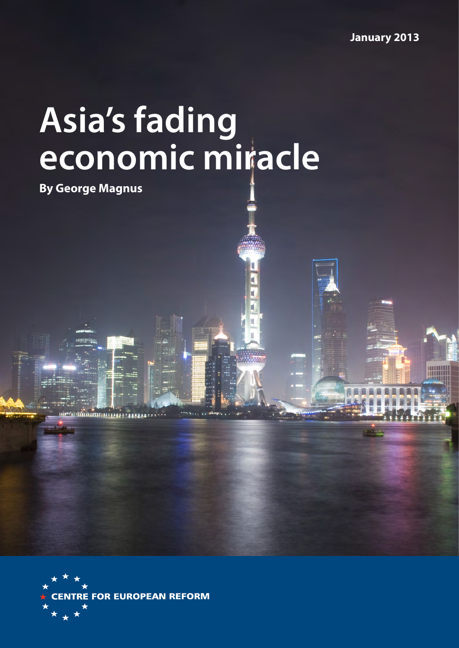# **Asia's fading economic miracle**

**By George Magnus**



*<u> International</u>*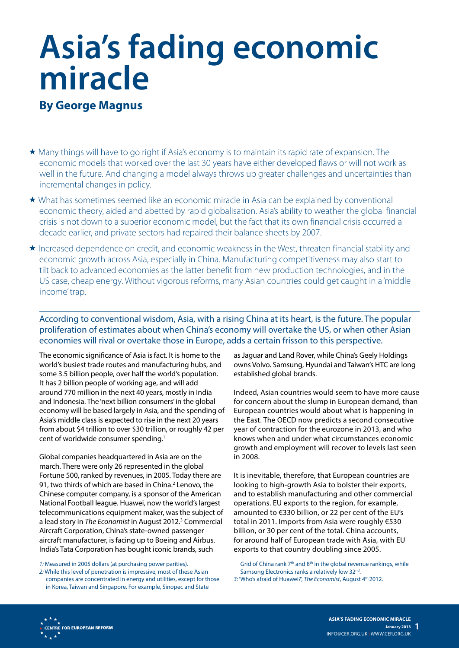# **Asia's fading economic miracle**

# **By George Magnus**

- Many things will have to go right if Asia's economy is to maintain its rapid rate of expansion. The economic models that worked over the last 30 years have either developed flaws or will not work as well in the future. And changing a model always throws up greater challenges and uncertainties than incremental changes in policy.
- What has sometimes seemed like an economic miracle in Asia can be explained by conventional economic theory, aided and abetted by rapid globalisation. Asia's ability to weather the global financial crisis is not down to a superior economic model, but the fact that its own financial crisis occurred a decade earlier, and private sectors had repaired their balance sheets by 2007.
- Increased dependence on credit, and economic weakness in the West, threaten financial stability and economic growth across Asia, especially in China. Manufacturing competitiveness may also start to tilt back to advanced economies as the latter benefit from new production technologies, and in the US case, cheap energy. Without vigorous reforms, many Asian countries could get caught in a 'middle income' trap.

#### According to conventional wisdom, Asia, with a rising China at its heart, is the future. The popular proliferation of estimates about when China's economy will overtake the US, or when other Asian economies will rival or overtake those in Europe, adds a certain frisson to this perspective.

The economic significance of Asia is fact. It is home to the world's busiest trade routes and manufacturing hubs, and some 3.5 billion people, over half the world's population. It has 2 billion people of working age, and will add around 770 million in the next 40 years, mostly in India and Indonesia. The 'next billion consumers' in the global economy will be based largely in Asia, and the spending of Asia's middle class is expected to rise in the next 20 years from about \$4 trillion to over \$30 trillion, or roughly 42 per cent of worldwide consumer spending.<sup>1</sup>

Global companies headquartered in Asia are on the march. There were only 26 represented in the global Fortune 500, ranked by revenues, in 2005. Today there are 91, two thirds of which are based in China.<sup>2</sup> Lenovo, the Chinese computer company, is a sponsor of the American National Football league. Huawei, now the world's largest telecommunications equipment maker, was the subject of a lead story in *The Economist* in August 2012.3 Commercial Aircraft Corporation, China's state-owned passenger aircraft manufacturer, is facing up to Boeing and Airbus. India's Tata Corporation has bought iconic brands, such

*1:* Measured in 2005 dollars (at purchasing power parities).

*2:* While this level of penetration is impressive, most of these Asian companies are concentrated in energy and utilities, except for those in Korea, Taiwan and Singapore. For example, Sinopec and State

as Jaguar and Land Rover, while China's Geely Holdings owns Volvo. Samsung, Hyundai and Taiwan's HTC are long established global brands.

Indeed, Asian countries would seem to have more cause for concern about the slump in European demand, than European countries would about what is happening in the East. The OECD now predicts a second consecutive year of contraction for the eurozone in 2013, and who knows when and under what circumstances economic growth and employment will recover to levels last seen in 2008.

It is inevitable, therefore, that European countries are looking to high-growth Asia to bolster their exports, and to establish manufacturing and other commercial operations. EU exports to the region, for example, amounted to €330 billion, or 22 per cent of the EU's total in 2011. Imports from Asia were roughly €530 billion, or 30 per cent of the total. China accounts, for around half of European trade with Asia, with EU exports to that country doubling since 2005.

Grid of China rank  $7<sup>th</sup>$  and  $8<sup>th</sup>$  in the global revenue rankings, while Samsung Electronics ranks a relatively low 32<sup>nd</sup>. *3:* 'Who's afraid of Huawei?', *The Economist*, August 4th,2012.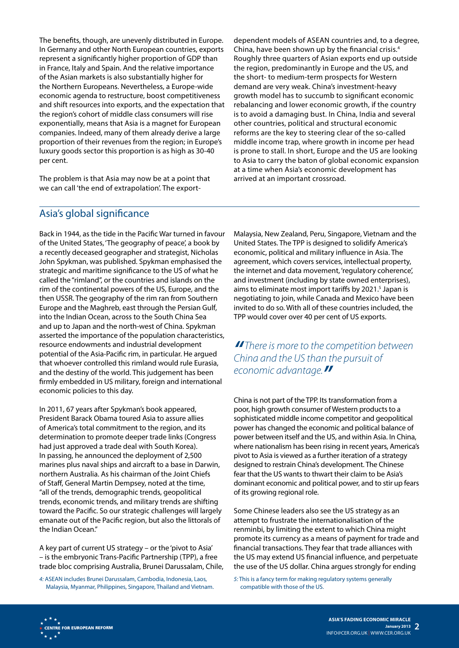The benefits, though, are unevenly distributed in Europe. In Germany and other North European countries, exports represent a significantly higher proportion of GDP than in France, Italy and Spain. And the relative importance of the Asian markets is also substantially higher for the Northern Europeans. Nevertheless, a Europe-wide economic agenda to restructure, boost competitiveness and shift resources into exports, and the expectation that the region's cohort of middle class consumers will rise exponentially, means that Asia is a magnet for European companies. Indeed, many of them already derive a large proportion of their revenues from the region; in Europe's luxury goods sector this proportion is as high as 30-40 per cent.

The problem is that Asia may now be at a point that we can call 'the end of extrapolation'. The exportdependent models of ASEAN countries and, to a degree, China, have been shown up by the financial crisis.4 Roughly three quarters of Asian exports end up outside the region, predominantly in Europe and the US, and the short- to medium-term prospects for Western demand are very weak. China's investment-heavy growth model has to succumb to significant economic rebalancing and lower economic growth, if the country is to avoid a damaging bust. In China, India and several other countries, political and structural economic reforms are the key to steering clear of the so-called middle income trap, where growth in income per head is prone to stall. In short, Europe and the US are looking to Asia to carry the baton of global economic expansion at a time when Asia's economic development has arrived at an important crossroad.

#### Asia's global significance

Back in 1944, as the tide in the Pacific War turned in favour of the United States, 'The geography of peace', a book by a recently deceased geographer and strategist, Nicholas John Spykman, was published. Spykman emphasised the strategic and maritime significance to the US of what he called the "rimland", or the countries and islands on the rim of the continental powers of the US, Europe, and the then USSR. The geography of the rim ran from Southern Europe and the Maghreb, east through the Persian Gulf, into the Indian Ocean, across to the South China Sea and up to Japan and the north-west of China. Spykman asserted the importance of the population characteristics, resource endowments and industrial development potential of the Asia-Pacific rim, in particular. He argued that whoever controlled this rimland would rule Eurasia, and the destiny of the world. This judgement has been firmly embedded in US military, foreign and international economic policies to this day.

In 2011, 67 years after Spykman's book appeared, President Barack Obama toured Asia to assure allies of America's total commitment to the region, and its determination to promote deeper trade links (Congress had just approved a trade deal with South Korea). In passing, he announced the deployment of 2,500 marines plus naval ships and aircraft to a base in Darwin, northern Australia. As his chairman of the Joint Chiefs of Staff, General Martin Dempsey, noted at the time, "all of the trends, demographic trends, geopolitical trends, economic trends, and military trends are shifting toward the Pacific. So our strategic challenges will largely emanate out of the Pacific region, but also the littorals of the Indian Ocean."

A key part of current US strategy – or the 'pivot to Asia' – is the embryonic Trans-Pacific Partnership (TPP), a free trade bloc comprising Australia, Brunei Darussalam, Chile,

*4:* ASEAN includes Brunei Darussalam, Cambodia, Indonesia, Laos, Malaysia, Myanmar, Philippines, Singapore, Thailand and Vietnam. Malaysia, New Zealand, Peru, Singapore, Vietnam and the United States. The TPP is designed to solidify America's economic, political and military influence in Asia. The agreement, which covers services, intellectual property, the internet and data movement, 'regulatory coherence', and investment (including by state owned enterprises), aims to eliminate most import tariffs by 2021.<sup>5</sup> Japan is negotiating to join, while Canada and Mexico have been invited to do so. With all of these countries included, the TPP would cover over 40 per cent of US exports.

*" There is more to the competition between China and the US than the pursuit of economic advantage."*

China is not part of the TPP. Its transformation from a poor, high growth consumer of Western products to a sophisticated middle income competitor and geopolitical power has changed the economic and political balance of power between itself and the US, and within Asia. In China, where nationalism has been rising in recent years, America's pivot to Asia is viewed as a further iteration of a strategy designed to restrain China's development. The Chinese fear that the US wants to thwart their claim to be Asia's dominant economic and political power, and to stir up fears of its growing regional role.

Some Chinese leaders also see the US strategy as an attempt to frustrate the internationalisation of the renminbi, by limiting the extent to which China might promote its currency as a means of payment for trade and financial transactions. They fear that trade alliances with the US may extend US financial influence, and perpetuate the use of the US dollar. China argues strongly for ending

*5:* This is a fancy term for making regulatory systems generally compatible with those of the US.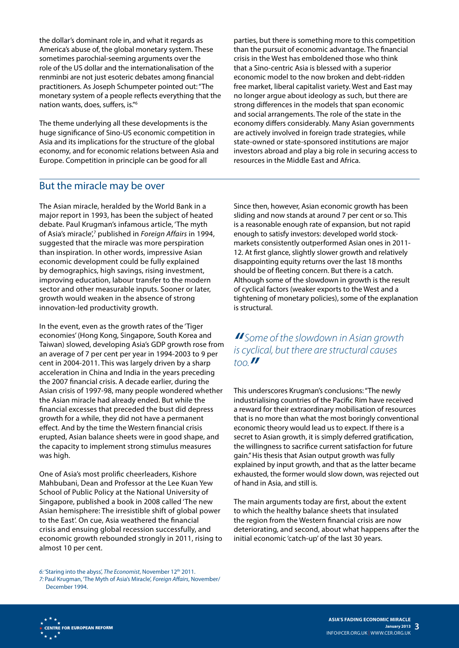the dollar's dominant role in, and what it regards as America's abuse of, the global monetary system. These sometimes parochial-seeming arguments over the role of the US dollar and the internationalisation of the renminbi are not just esoteric debates among financial practitioners. As Joseph Schumpeter pointed out: "The monetary system of a people reflects everything that the nation wants, does, suffers, is."6

The theme underlying all these developments is the huge significance of Sino-US economic competition in Asia and its implications for the structure of the global economy, and for economic relations between Asia and Europe. Competition in principle can be good for all

#### But the miracle may be over

The Asian miracle, heralded by the World Bank in a major report in 1993, has been the subject of heated debate. Paul Krugman's infamous article, 'The myth of Asia's miracle',7 published in *Foreign Affairs* in 1994, suggested that the miracle was more perspiration than inspiration. In other words, impressive Asian economic development could be fully explained by demographics, high savings, rising investment, improving education, labour transfer to the modern sector and other measurable inputs. Sooner or later, growth would weaken in the absence of strong innovation-led productivity growth.

In the event, even as the growth rates of the 'Tiger economies' (Hong Kong, Singapore, South Korea and Taiwan) slowed, developing Asia's GDP growth rose from an average of 7 per cent per year in 1994-2003 to 9 per cent in 2004-2011. This was largely driven by a sharp acceleration in China and India in the years preceding the 2007 financial crisis. A decade earlier, during the Asian crisis of 1997-98, many people wondered whether the Asian miracle had already ended. But while the financial excesses that preceded the bust did depress growth for a while, they did not have a permanent effect. And by the time the Western financial crisis erupted, Asian balance sheets were in good shape, and the capacity to implement strong stimulus measures was high.

One of Asia's most prolific cheerleaders, Kishore Mahbubani, Dean and Professor at the Lee Kuan Yew School of Public Policy at the National University of Singapore, published a book in 2008 called 'The new Asian hemisphere: The irresistible shift of global power to the East'. On cue, Asia weathered the financial crisis and ensuing global recession successfully, and economic growth rebounded strongly in 2011, rising to almost 10 per cent.

parties, but there is something more to this competition than the pursuit of economic advantage. The financial crisis in the West has emboldened those who think that a Sino-centric Asia is blessed with a superior economic model to the now broken and debt-ridden free market, liberal capitalist variety. West and East may no longer argue about ideology as such, but there are strong differences in the models that span economic and social arrangements. The role of the state in the economy differs considerably. Many Asian governments are actively involved in foreign trade strategies, while state-owned or state-sponsored institutions are major investors abroad and play a big role in securing access to resources in the Middle East and Africa.

Since then, however, Asian economic growth has been sliding and now stands at around 7 per cent or so. This is a reasonable enough rate of expansion, but not rapid enough to satisfy investors: developed world stockmarkets consistently outperformed Asian ones in 2011- 12. At first glance, slightly slower growth and relatively disappointing equity returns over the last 18 months should be of fleeting concern. But there is a catch. Although some of the slowdown in growth is the result of cyclical factors (weaker exports to the West and a tightening of monetary policies), some of the explanation is structural.

### *" Some of the slowdown in Asian growth is cyclical, but there are structural causes too."*

This underscores Krugman's conclusions: "The newly industrialising countries of the Pacific Rim have received a reward for their extraordinary mobilisation of resources that is no more than what the most boringly conventional economic theory would lead us to expect. If there is a secret to Asian growth, it is simply deferred gratification, the willingness to sacrifice current satisfaction for future gain." His thesis that Asian output growth was fully explained by input growth, and that as the latter became exhausted, the former would slow down, was rejected out of hand in Asia, and still is.

The main arguments today are first, about the extent to which the healthy balance sheets that insulated the region from the Western financial crisis are now deteriorating, and second, about what happens after the initial economic 'catch-up' of the last 30 years.

*<sup>6:</sup>* 'Staring into the abyss', *The Economist*, November 12th 2011. *7:* Paul Krugman, 'The Myth of Asia's Miracle', *Foreign Affairs*, November/ December 1994.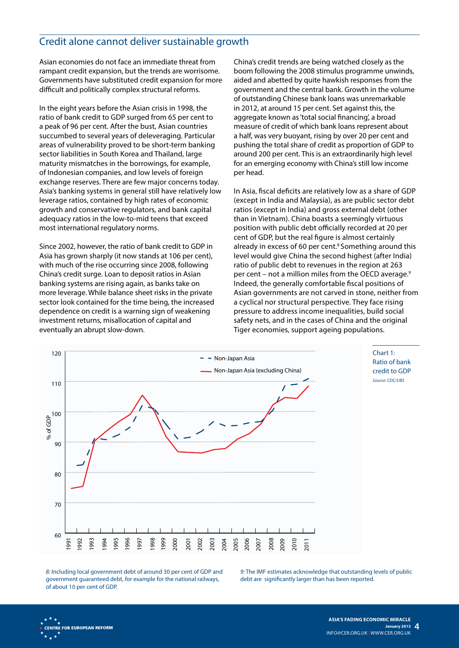## Credit alone cannot deliver sustainable growth

Asian economies do not face an immediate threat from rampant credit expansion, but the trends are worrisome. Governments have substituted credit expansion for more difficult and politically complex structural reforms.

In the eight years before the Asian crisis in 1998, the ratio of bank credit to GDP surged from 65 per cent to a peak of 96 per cent. After the bust, Asian countries succumbed to several years of deleveraging. Particular areas of vulnerability proved to be short-term banking sector liabilities in South Korea and Thailand, large maturity mismatches in the borrowings, for example, of Indonesian companies, and low levels of foreign exchange reserves. There are few major concerns today. Asia's banking systems in general still have relatively low leverage ratios, contained by high rates of economic growth and conservative regulators, and bank capital adequacy ratios in the low-to-mid teens that exceed most international regulatory norms.

Since 2002, however, the ratio of bank credit to GDP in Asia has grown sharply (it now stands at 106 per cent), with much of the rise occurring since 2008, following China's credit surge. Loan to deposit ratios in Asian banking systems are rising again, as banks take on more leverage. While balance sheet risks in the private sector look contained for the time being, the increased dependence on credit is a warning sign of weakening investment returns, misallocation of capital and eventually an abrupt slow-down.

China's credit trends are being watched closely as the boom following the 2008 stimulus programme unwinds, aided and abetted by quite hawkish responses from the government and the central bank. Growth in the volume of outstanding Chinese bank loans was unremarkable in 2012, at around 15 per cent. Set against this, the aggregate known as 'total social financing', a broad measure of credit of which bank loans represent about a half, was very buoyant, rising by over 20 per cent and pushing the total share of credit as proportion of GDP to around 200 per cent. This is an extraordinarily high level for an emerging economy with China's still low income per head.

In Asia, fiscal deficits are relatively low as a share of GDP (except in India and Malaysia), as are public sector debt ratios (except in India) and gross external debt (other than in Vietnam). China boasts a seemingly virtuous position with public debt officially recorded at 20 per cent of GDP, but the real figure is almost certainly already in excess of 60 per cent.<sup>8</sup> Something around this level would give China the second highest (after India) ratio of public debt to revenues in the region at 263 per cent – not a million miles from the OECD average.<sup>9</sup> Indeed, the generally comfortable fiscal positions of Asian governments are not carved in stone, neither from a cyclical nor structural perspective. They face rising pressure to address income inequalities, build social safety nets, and in the cases of China and the original Tiger economies, support ageing populations.



Chart 1: Ratio of bank credit to GDP *Source: CEIC/UBS*

*8:* Including local government debt of around 30 per cent of GDP and government guaranteed debt, for example for the national railways, of about 10 per cent of GDP.

*9:* The IMF estimates acknowledge that outstanding levels of public debt are significantly larger than has been reported.

**CENTRE FOR EUROPEAN REFORM**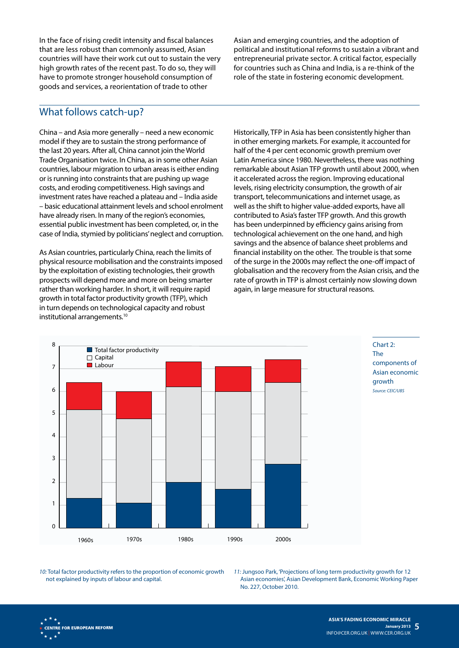In the face of rising credit intensity and fiscal balances that are less robust than commonly assumed, Asian countries will have their work cut out to sustain the very high growth rates of the recent past. To do so, they will have to promote stronger household consumption of goods and services, a reorientation of trade to other

Asian and emerging countries, and the adoption of political and institutional reforms to sustain a vibrant and entrepreneurial private sector. A critical factor, especially for countries such as China and India, is a re-think of the role of the state in fostering economic development.

#### What follows catch-up?

China – and Asia more generally – need a new economic model if they are to sustain the strong performance of the last 20 years. After all, China cannot join the World Trade Organisation twice. In China, as in some other Asian countries, labour migration to urban areas is either ending or is running into constraints that are pushing up wage costs, and eroding competitiveness. High savings and investment rates have reached a plateau and – India aside – basic educational attainment levels and school enrolment have already risen. In many of the region's economies, essential public investment has been completed, or, in the case of India, stymied by politicians' neglect and corruption.

As Asian countries, particularly China, reach the limits of physical resource mobilisation and the constraints imposed by the exploitation of existing technologies, their growth prospects will depend more and more on being smarter rather than working harder. In short, it will require rapid growth in total factor productivity growth (TFP), which in turn depends on technological capacity and robust institutional arrangements.10

Historically, TFP in Asia has been consistently higher than in other emerging markets. For example, it accounted for half of the 4 per cent economic growth premium over Latin America since 1980. Nevertheless, there was nothing remarkable about Asian TFP growth until about 2000, when it accelerated across the region. Improving educational levels, rising electricity consumption, the growth of air transport, telecommunications and internet usage, as well as the shift to higher value-added exports, have all contributed to Asia's faster TFP growth. And this growth has been underpinned by efficiency gains arising from technological achievement on the one hand, and high savings and the absence of balance sheet problems and financial instability on the other. The trouble is that some of the surge in the 2000s may reflect the one-off impact of globalisation and the recovery from the Asian crisis, and the rate of growth in TFP is almost certainly now slowing down again, in large measure for structural reasons.





*10:* Total factor productivity refers to the proportion of economic growth not explained by inputs of labour and capital.

*11:* Jungsoo Park, 'Projections of long term productivity growth for 12 Asian economies', Asian Development Bank, Economic Working Paper No. 227, October 2010.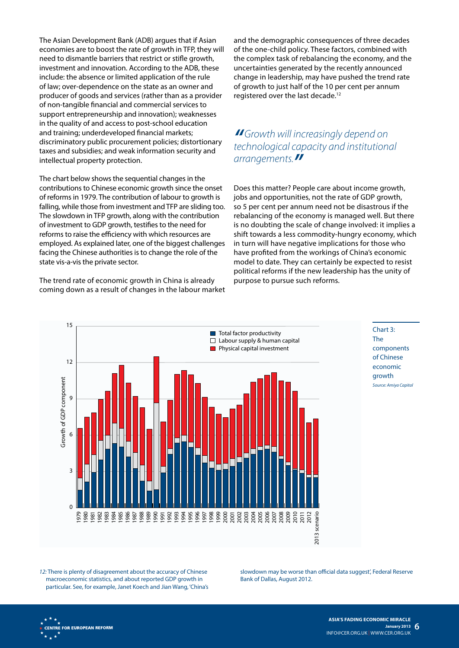The Asian Development Bank (ADB) argues that if Asian economies are to boost the rate of growth in TFP, they will need to dismantle barriers that restrict or stifle growth, investment and innovation. According to the ADB, these include: the absence or limited application of the rule of law; over-dependence on the state as an owner and producer of goods and services (rather than as a provider of non-tangible financial and commercial services to support entrepreneurship and innovation); weaknesses in the quality of and access to post-school education and training; underdeveloped financial markets; discriminatory public procurement policies; distortionary taxes and subsidies; and weak information security and intellectual property protection.

The chart below shows the sequential changes in the contributions to Chinese economic growth since the onset of reforms in 1979. The contribution of labour to growth is falling, while those from investment and TFP are sliding too. The slowdown in TFP growth, along with the contribution of investment to GDP growth, testifies to the need for reforms to raise the efficiency with which resources are employed. As explained later, one of the biggest challenges facing the Chinese authorities is to change the role of the state vis-a-vis the private sector.

The trend rate of economic growth in China is already coming down as a result of changes in the labour market

and the demographic consequences of three decades of the one-child policy. These factors, combined with the complex task of rebalancing the economy, and the uncertainties generated by the recently announced change in leadership, may have pushed the trend rate of growth to just half of the 10 per cent per annum registered over the last decade.<sup>12</sup>

## *"Growth will increasingly depend on technological capacity and institutional arrangements."*

Does this matter? People care about income growth, jobs and opportunities, not the rate of GDP growth, so 5 per cent per annum need not be disastrous if the rebalancing of the economy is managed well. But there is no doubting the scale of change involved: it implies a shift towards a less commodity-hungry economy, which in turn will have negative implications for those who have profited from the workings of China's economic model to date. They can certainly be expected to resist political reforms if the new leadership has the unity of purpose to pursue such reforms.



Chart 3: The components of Chinese economic growth *Source: Amiya Capital*

*12:* There is plenty of disagreement about the accuracy of Chinese macroeconomic statistics, and about reported GDP growth in particular. See, for example, Janet Koech and Jian Wang, 'China's slowdown may be worse than official data suggest', Federal Reserve Bank of Dallas, August 2012.

**CENTRE FOR EUROPEAN REFORM**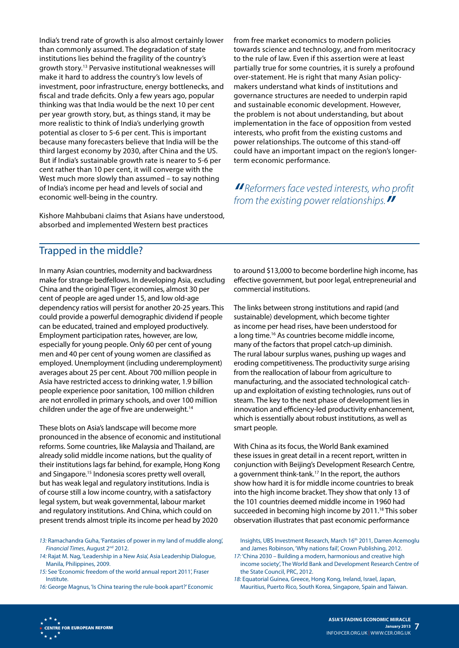India's trend rate of growth is also almost certainly lower than commonly assumed. The degradation of state institutions lies behind the fragility of the country's growth story.13 Pervasive institutional weaknesses will make it hard to address the country's low levels of investment, poor infrastructure, energy bottlenecks, and fiscal and trade deficits. Only a few years ago, popular thinking was that India would be the next 10 per cent per year growth story, but, as things stand, it may be more realistic to think of India's underlying growth potential as closer to 5-6 per cent. This is important because many forecasters believe that India will be the third largest economy by 2030, after China and the US. But if India's sustainable growth rate is nearer to 5-6 per cent rather than 10 per cent, it will converge with the West much more slowly than assumed – to say nothing of India's income per head and levels of social and economic well-being in the country.

Kishore Mahbubani claims that Asians have understood, absorbed and implemented Western best practices

from free market economics to modern policies towards science and technology, and from meritocracy to the rule of law. Even if this assertion were at least partially true for some countries, it is surely a profound over-statement. He is right that many Asian policymakers understand what kinds of institutions and governance structures are needed to underpin rapid and sustainable economic development. However, the problem is not about understanding, but about implementation in the face of opposition from vested interests, who profit from the existing customs and power relationships. The outcome of this stand-off could have an important impact on the region's longerterm economic performance.

*" Reformers face vested interests, who profit from the existing power relationships."*

#### Trapped in the middle?

In many Asian countries, modernity and backwardness make for strange bedfellows. In developing Asia, excluding China and the original Tiger economies, almost 30 per cent of people are aged under 15, and low old-age dependency ratios will persist for another 20-25 years. This could provide a powerful demographic dividend if people can be educated, trained and employed productively. Employment participation rates, however, are low, especially for young people. Only 60 per cent of young men and 40 per cent of young women are classified as employed. Unemployment (including underemployment) averages about 25 per cent. About 700 million people in Asia have restricted access to drinking water, 1.9 billion people experience poor sanitation, 100 million children are not enrolled in primary schools, and over 100 million children under the age of five are underweight.<sup>14</sup>

These blots on Asia's landscape will become more pronounced in the absence of economic and institutional reforms. Some countries, like Malaysia and Thailand, are already solid middle income nations, but the quality of their institutions lags far behind, for example, Hong Kong and Singapore.15 Indonesia scores pretty well overall, but has weak legal and regulatory institutions. India is of course still a low income country, with a satisfactory legal system, but weak governmental, labour market and regulatory institutions. And China, which could on present trends almost triple its income per head by 2020

*15:* See 'Economic freedom of the world annual report 2011', Fraser Institute.

*16:* George Magnus, 'Is China tearing the rule-book apart?' Economic

to around \$13,000 to become borderline high income, has effective government, but poor legal, entrepreneurial and commercial institutions.

The links between strong institutions and rapid (and sustainable) development, which become tighter as income per head rises, have been understood for a long time.<sup>16</sup> As countries become middle income, many of the factors that propel catch-up diminish. The rural labour surplus wanes, pushing up wages and eroding competitiveness. The productivity surge arising from the reallocation of labour from agriculture to manufacturing, and the associated technological catchup and exploitation of existing technologies, runs out of steam. The key to the next phase of development lies in innovation and efficiency-led productivity enhancement, which is essentially about robust institutions, as well as smart people.

With China as its focus, the World Bank examined these issues in great detail in a recent report, written in conjunction with Beijing's Development Research Centre, a government think-tank.<sup>17</sup> In the report, the authors show how hard it is for middle income countries to break into the high income bracket. They show that only 13 of the 101 countries deemed middle income in 1960 had succeeded in becoming high income by 2011.<sup>18</sup> This sober observation illustrates that past economic performance

*<sup>13:</sup>* Ramachandra Guha, 'Fantasies of power in my land of muddle along', *Financial Times*, August 2nd 2012.

*<sup>14:</sup>* Rajat M. Nag, 'Leadership in a New Asia', Asia Leadership Dialogue, Manila, Philippines, 2009.

Insights, UBS Investment Research, March 16<sup>th</sup> 2011, Darren Acemoglu and James Robinson, 'Why nations fail', Crown Publishing, 2012.

*<sup>17:</sup>* 'China 2030 – Building a modern, harmonious and creative high income society', The World Bank and Development Research Centre of the State Council, PRC, 2012.

*<sup>18:</sup>* Equatorial Guinea, Greece, Hong Kong, Ireland, Israel, Japan, Mauritius, Puerto Rico, South Korea, Singapore, Spain and Taiwan.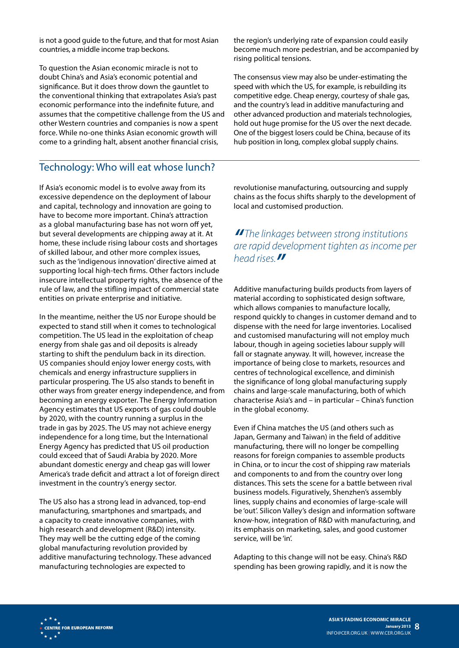is not a good guide to the future, and that for most Asian countries, a middle income trap beckons.

To question the Asian economic miracle is not to doubt China's and Asia's economic potential and significance. But it does throw down the gauntlet to the conventional thinking that extrapolates Asia's past economic performance into the indefinite future, and assumes that the competitive challenge from the US and other Western countries and companies is now a spent force. While no-one thinks Asian economic growth will come to a grinding halt, absent another financial crisis,

# Technology: Who will eat whose lunch?

If Asia's economic model is to evolve away from its excessive dependence on the deployment of labour and capital, technology and innovation are going to have to become more important. China's attraction as a global manufacturing base has not worn off yet, but several developments are chipping away at it. At home, these include rising labour costs and shortages of skilled labour, and other more complex issues, such as the 'indigenous innovation' directive aimed at supporting local high-tech firms. Other factors include insecure intellectual property rights, the absence of the rule of law, and the stifling impact of commercial state entities on private enterprise and initiative.

In the meantime, neither the US nor Europe should be expected to stand still when it comes to technological competition. The US lead in the exploitation of cheap energy from shale gas and oil deposits is already starting to shift the pendulum back in its direction. US companies should enjoy lower energy costs, with chemicals and energy infrastructure suppliers in particular prospering. The US also stands to benefit in other ways from greater energy independence, and from becoming an energy exporter. The Energy Information Agency estimates that US exports of gas could double by 2020, with the country running a surplus in the trade in gas by 2025. The US may not achieve energy independence for a long time, but the International Energy Agency has predicted that US oil production could exceed that of Saudi Arabia by 2020. More abundant domestic energy and cheap gas will lower America's trade deficit and attract a lot of foreign direct investment in the country's energy sector.

The US also has a strong lead in advanced, top-end manufacturing, smartphones and smartpads, and a capacity to create innovative companies, with high research and development (R&D) intensity. They may well be the cutting edge of the coming global manufacturing revolution provided by additive manufacturing technology. These advanced manufacturing technologies are expected to

the region's underlying rate of expansion could easily become much more pedestrian, and be accompanied by rising political tensions.

The consensus view may also be under-estimating the speed with which the US, for example, is rebuilding its competitive edge. Cheap energy, courtesy of shale gas, and the country's lead in additive manufacturing and other advanced production and materials technologies, hold out huge promise for the US over the next decade. One of the biggest losers could be China, because of its hub position in long, complex global supply chains.

revolutionise manufacturing, outsourcing and supply chains as the focus shifts sharply to the development of local and customised production.

*" The linkages between strong institutions are rapid development tighten as income per head rises."*

Additive manufacturing builds products from layers of material according to sophisticated design software, which allows companies to manufacture locally, respond quickly to changes in customer demand and to dispense with the need for large inventories. Localised and customised manufacturing will not employ much labour, though in ageing societies labour supply will fall or stagnate anyway. It will, however, increase the importance of being close to markets, resources and centres of technological excellence, and diminish the significance of long global manufacturing supply chains and large-scale manufacturing, both of which characterise Asia's and – in particular – China's function in the global economy.

Even if China matches the US (and others such as Japan, Germany and Taiwan) in the field of additive manufacturing, there will no longer be compelling reasons for foreign companies to assemble products in China, or to incur the cost of shipping raw materials and components to and from the country over long distances. This sets the scene for a battle between rival business models. Figuratively, Shenzhen's assembly lines, supply chains and economies of large-scale will be 'out'. Silicon Valley's design and information software know-how, integration of R&D with manufacturing, and its emphasis on marketing, sales, and good customer service, will be 'in'.

Adapting to this change will not be easy. China's R&D spending has been growing rapidly, and it is now the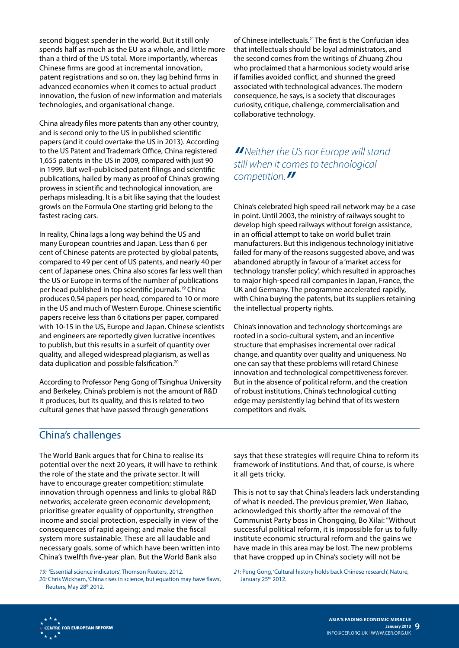second biggest spender in the world. But it still only spends half as much as the EU as a whole, and little more than a third of the US total. More importantly, whereas Chinese firms are good at incremental innovation, patent registrations and so on, they lag behind firms in advanced economies when it comes to actual product innovation, the fusion of new information and materials technologies, and organisational change.

China already files more patents than any other country, and is second only to the US in published scientific papers (and it could overtake the US in 2013). According to the US Patent and Trademark Office, China registered 1,655 patents in the US in 2009, compared with just 90 in 1999. But well-publicised patent filings and scientific publications, hailed by many as proof of China's growing prowess in scientific and technological innovation, are perhaps misleading. It is a bit like saying that the loudest growls on the Formula One starting grid belong to the fastest racing cars.

In reality, China lags a long way behind the US and many European countries and Japan. Less than 6 per cent of Chinese patents are protected by global patents, compared to 49 per cent of US patents, and nearly 40 per cent of Japanese ones. China also scores far less well than the US or Europe in terms of the number of publications per head published in top scientific journals.19 China produces 0.54 papers per head, compared to 10 or more in the US and much of Western Europe. Chinese scientific papers receive less than 6 citations per paper, compared with 10-15 in the US, Europe and Japan. Chinese scientists and engineers are reportedly given lucrative incentives to publish, but this results in a surfeit of quantity over quality, and alleged widespread plagiarism, as well as data duplication and possible falsification.20

According to Professor Peng Gong of Tsinghua University and Berkeley, China's problem is not the amount of R&D it produces, but its quality, and this is related to two cultural genes that have passed through generations

of Chinese intellectuals.21 The first is the Confucian idea that intellectuals should be loyal administrators, and the second comes from the writings of Zhuang Zhou who proclaimed that a harmonious society would arise if families avoided conflict, and shunned the greed associated with technological advances. The modern consequence, he says, is a society that discourages curiosity, critique, challenge, commercialisation and collaborative technology.

*"Neither the US nor Europe will stand still when it comes to technological competition."*

China's celebrated high speed rail network may be a case in point. Until 2003, the ministry of railways sought to develop high speed railways without foreign assistance, in an official attempt to take on world bullet train manufacturers. But this indigenous technology initiative failed for many of the reasons suggested above, and was abandoned abruptly in favour of a 'market access for technology transfer policy', which resulted in approaches to major high-speed rail companies in Japan, France, the UK and Germany. The programme accelerated rapidly, with China buying the patents, but its suppliers retaining the intellectual property rights.

China's innovation and technology shortcomings are rooted in a socio-cultural system, and an incentive structure that emphasises incremental over radical change, and quantity over quality and uniqueness. No one can say that these problems will retard Chinese innovation and technological competitiveness forever. But in the absence of political reform, and the creation of robust institutions, China's technological cutting edge may persistently lag behind that of its western competitors and rivals.

#### China's challenges

The World Bank argues that for China to realise its potential over the next 20 years, it will have to rethink the role of the state and the private sector. It will have to encourage greater competition; stimulate innovation through openness and links to global R&D networks; accelerate green economic development; prioritise greater equality of opportunity, strengthen income and social protection, especially in view of the consequences of rapid ageing; and make the fiscal system more sustainable. These are all laudable and necessary goals, some of which have been written into China's twelfth five-year plan. But the World Bank also

says that these strategies will require China to reform its framework of institutions. And that, of course, is where it all gets tricky.

This is not to say that China's leaders lack understanding of what is needed. The previous premier, Wen Jiabao, acknowledged this shortly after the removal of the Communist Party boss in Chongqing, Bo Xilai: "Without successful political reform, it is impossible for us to fully institute economic structural reform and the gains we have made in this area may be lost. The new problems that have cropped up in China's society will not be

*<sup>19:</sup>* 'Essential science indicators', Thomson Reuters, 2012.

*<sup>20:</sup>* Chris Wickham, 'China rises in science, but equation may have flaws', Reuters, May 28<sup>th</sup> 2012.

*<sup>21:</sup>* Peng Gong, 'Cultural history holds back Chinese research', Nature, January 25<sup>th</sup> 2012.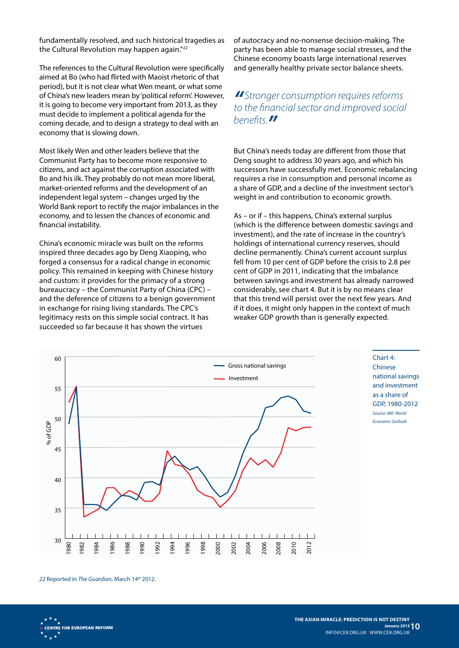fundamentally resolved, and such historical tragedies as the Cultural Revolution may happen again."<sup>22</sup>

The references to the Cultural Revolution were specifically aimed at Bo (who had flirted with Maoist rhetoric of that period), but it is not clear what Wen meant, or what some of China's new leaders mean by 'political reform'. However, it is going to become very important from 2013, as they must decide to implement a political agenda for the coming decade, and to design a strategy to deal with an economy that is slowing down.

Most likely Wen and other leaders believe that the Communist Party has to become more responsive to citizens, and act against the corruption associated with Bo and his ilk. They probably do not mean more liberal, market-oriented reforms and the development of an independent legal system – changes urged by the World Bank report to rectify the major imbalances in the economy, and to lessen the chances of economic and financial instability.

China's economic miracle was built on the reforms inspired three decades ago by Deng Xiaoping, who forged a consensus for a radical change in economic policy. This remained in keeping with Chinese history and custom: it provides for the primacy of a strong bureaucracy – the Communist Party of China (CPC) – and the deference of citizens to a benign government in exchange for rising living standards. The CPC's legitimacy rests on this simple social contract. It has succeeded so far because it has shown the virtues

of autocracy and no-nonsense decision-making. The party has been able to manage social stresses, and the Chinese economy boasts large international reserves and generally healthy private sector balance sheets.

#### *" Stronger consumption requires reforms to the financial sector and improved social benefits."*

But China's needs today are different from those that Deng sought to address 30 years ago, and which his successors have successfully met. Economic rebalancing requires a rise in consumption and personal income as a share of GDP, and a decline of the investment sector's weight in and contribution to economic growth.

As – or if – this happens, China's external surplus (which is the difference between domestic savings and investment), and the rate of increase in the country's holdings of international currency reserves, should decline permanently. China's current account surplus fell from 10 per cent of GDP before the crisis to 2.8 per cent of GDP in 2011, indicating that the imbalance between savings and investment has already narrowed considerably, see chart 4. But it is by no means clear that this trend will persist over the next few years. And if it does, it might only happen in the context of much weaker GDP growth than is generally expected.



Chinese national savings and investment as a share of GDP, 1980-2012 *Source: IMF, World Economic Outlook*

Chart 4:

*22* Reported in *The Guardian*, March 14th 2012.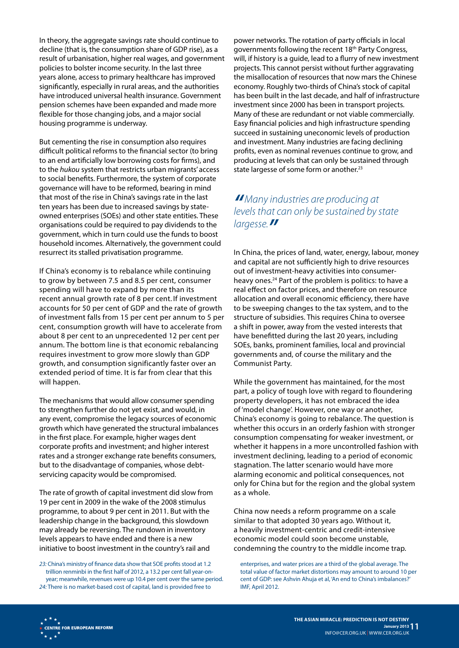In theory, the aggregate savings rate should continue to decline (that is, the consumption share of GDP rise), as a result of urbanisation, higher real wages, and government policies to bolster income security. In the last three years alone, access to primary healthcare has improved significantly, especially in rural areas, and the authorities have introduced universal health insurance. Government pension schemes have been expanded and made more flexible for those changing jobs, and a major social housing programme is underway.

But cementing the rise in consumption also requires difficult political reforms to the financial sector (to bring to an end artificially low borrowing costs for firms), and to the *hukou* system that restricts urban migrants' access to social benefits. Furthermore, the system of corporate governance will have to be reformed, bearing in mind that most of the rise in China's savings rate in the last ten years has been due to increased savings by stateowned enterprises (SOEs) and other state entities. These organisations could be required to pay dividends to the government, which in turn could use the funds to boost household incomes. Alternatively, the government could resurrect its stalled privatisation programme.

If China's economy is to rebalance while continuing to grow by between 7.5 and 8.5 per cent, consumer spending will have to expand by more than its recent annual growth rate of 8 per cent. If investment accounts for 50 per cent of GDP and the rate of growth of investment falls from 15 per cent per annum to 5 per cent, consumption growth will have to accelerate from about 8 per cent to an unprecedented 12 per cent per annum. The bottom line is that economic rebalancing requires investment to grow more slowly than GDP growth, and consumption significantly faster over an extended period of time. It is far from clear that this will happen.

The mechanisms that would allow consumer spending to strengthen further do not yet exist, and would, in any event, compromise the legacy sources of economic growth which have generated the structural imbalances in the first place. For example, higher wages dent corporate profits and investment; and higher interest rates and a stronger exchange rate benefits consumers, but to the disadvantage of companies, whose debtservicing capacity would be compromised.

The rate of growth of capital investment did slow from 19 per cent in 2009 in the wake of the 2008 stimulus programme, to about 9 per cent in 2011. But with the leadership change in the background, this slowdown may already be reversing. The rundown in inventory levels appears to have ended and there is a new initiative to boost investment in the country's rail and

*23:* China's ministry of finance data show that SOE profits stood at 1.2 trillion renminbi in the first half of 2012, a 13.2 per cent fall year-onyear; meanwhile, revenues were up 10.4 per cent over the same period. *24:* There is no market-based cost of capital, land is provided free to

power networks. The rotation of party officials in local governments following the recent 18th Party Congress, will, if history is a guide, lead to a flurry of new investment projects. This cannot persist without further aggravating the misallocation of resources that now mars the Chinese economy. Roughly two-thirds of China's stock of capital has been built in the last decade, and half of infrastructure investment since 2000 has been in transport projects. Many of these are redundant or not viable commercially. Easy financial policies and high infrastructure spending succeed in sustaining uneconomic levels of production and investment. Many industries are facing declining profits, even as nominal revenues continue to grow, and producing at levels that can only be sustained through state largesse of some form or another.<sup>23</sup>

#### *"Many industries are producing at levels that can only be sustained by state largesse."*

In China, the prices of land, water, energy, labour, money and capital are not sufficiently high to drive resources out of investment-heavy activities into consumerheavy ones.24 Part of the problem is politics: to have a real effect on factor prices, and therefore on resource allocation and overall economic efficiency, there have to be sweeping changes to the tax system, and to the structure of subsidies. This requires China to oversee a shift in power, away from the vested interests that have benefitted during the last 20 years, including SOEs, banks, prominent families, local and provincial governments and, of course the military and the Communist Party.

While the government has maintained, for the most part, a policy of tough love with regard to floundering property developers, it has not embraced the idea of 'model change'. However, one way or another, China's economy is going to rebalance. The question is whether this occurs in an orderly fashion with stronger consumption compensating for weaker investment, or whether it happens in a more uncontrolled fashion with investment declining, leading to a period of economic stagnation. The latter scenario would have more alarming economic and political consequences, not only for China but for the region and the global system as a whole.

China now needs a reform programme on a scale similar to that adopted 30 years ago. Without it, a heavily investment-centric and credit-intensive economic model could soon become unstable, condemning the country to the middle income trap.

enterprises, and water prices are a third of the global average. The total value of factor market distortions may amount to around 10 per cent of GDP: see Ashvin Ahuja et al, 'An end to China's imbalances?' IMF, April 2012.